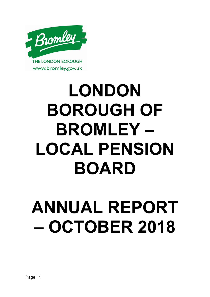

# **LONDON BOROUGH OF BROMLEY – LOCAL PENSION BOARD**

# **ANNUAL REPORT – OCTOBER 2018**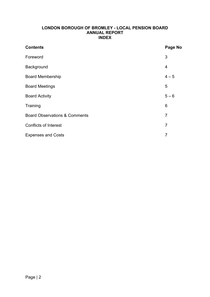#### **LONDON BOROUGH OF BROMLEY - LOCAL PENSION BOARD ANNUAL REPORT INDEX**

| <b>Contents</b>                          | Page No        |
|------------------------------------------|----------------|
| Foreword                                 | 3              |
| Background                               | 4              |
| <b>Board Membership</b>                  | $4 - 5$        |
| <b>Board Meetings</b>                    | 5              |
| <b>Board Activity</b>                    | $5 - 6$        |
| Training                                 | 6              |
| <b>Board Observations &amp; Comments</b> | $\overline{7}$ |
| <b>Conflicts of Interest</b>             | 7              |
| <b>Expenses and Costs</b>                | 7              |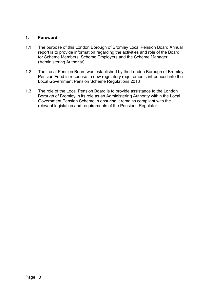# **1. Foreword**

- 1.1 The purpose of this London Borough of Bromley Local Pension Board Annual report is to provide information regarding the activities and role of the Board for Scheme Members, Scheme Employers and the Scheme Manager (Administering Authority).
- 1.2 The Local Pension Board was established by the London Borough of Bromley Pension Fund in response to new regulatory requirements introduced into the Local Government Pension Scheme Regulations 2013
- 1.3 The role of the Local Pension Board is to provide assistance to the London Borough of Bromley in its role as an Administering Authority within the Local Government Pension Scheme in ensuring it remains compliant with the relevant legislation and requirements of the Pensions Regulator.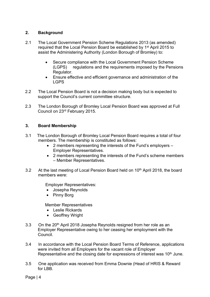# **2. Background**

- 2.1 The Local Government Pension Scheme Regulations 2013 (as amended) required that the Local Pension Board be established by 1<sup>st</sup> April 2015 to assist the Administering Authority (London Borough of Bromley) to:
	- Secure compliance with the Local Government Pension Scheme (LGPS) regulations and the requirements imposed by the Pensions Regulator.
	- Ensure effective and efficient governance and administration of the LGPS
- 2.2 The Local Pension Board is not a decision making body but is expected to support the Council's current committee structure.
- 2.3 The London Borough of Bromley Local Pension Board was approved at Full Council on 23rd February 2015.

# **3. Board Membership**

- 3.1 The London Borough of Bromley Local Pension Board requires a total of four members. The membership is constituted as follows:
	- 2 members representing the interests of the Fund's employers Employer Representatives.
	- 2 members representing the interests of the Fund's scheme members – Member Representatives.
- 3.2 At the last meeting of Local Pension Board held on 10<sup>th</sup> April 2018, the board members were:

Employer Representatives:

- Josepha Reynolds
- Pinny Borg

Member Representatives

- Leslie Rickards
- Geoffrey Wright
- 3.3 On the 20<sup>th</sup> April 2018 Josepha Reynolds resigned from her role as an Employer Representative owing to her ceasing her employment with the Council.
- 3.4 In accordance with the Local Pension Board Terms of Reference, applications were invited from all Employers for the vacant role of Employer Representative and the closing date for expressions of interest was 10<sup>th</sup> June.
- 3.5 One application was received from Emma Downie (Head of HRIS & Reward for LBB.

Page | 4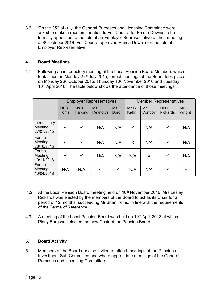3.6 On the 25<sup>th</sup> of July, the General Purposes and Licensing Committee were asked to make a recommendation to Full Council for Emma Downie to be formally appointed to the role of an Employer Representative at their meeting of 8<sup>th</sup> October 2018. Full Council approved Emma Downie for the role of Employer Representative.

# **4. Board Meetings**

4.1 Following an introductory meeting of the Local Pension Board Members which took place on Monday 27<sup>th</sup> July 2015, formal meetings of the Board took place on Monday 26<sup>th</sup> October 2015, Thursday 10<sup>th</sup> November 2016 and Tuesday 10<sup>th</sup> April 2018. The table below shows the attendance of those meetings:

|                                       | <b>Employer Representatives</b> |                        |                         |                     | <b>Member Representatives</b> |               |                          |                |
|---------------------------------------|---------------------------------|------------------------|-------------------------|---------------------|-------------------------------|---------------|--------------------------|----------------|
|                                       | MrB<br><b>Toms</b>              | Ms J<br><b>Harding</b> | Ms J<br><b>Reynolds</b> | Ms P<br><b>Borg</b> | Mr G<br>Kelly                 | MrT<br>Conboy | Mrs L<br><b>Rickards</b> | Mr G<br>Wright |
| Introductory<br>Meeting<br>27/07/2015 | $\checkmark$                    | $\checkmark$           | N/A                     | N/A                 | $\checkmark$                  | N/A           | $\checkmark$             | N/A            |
| Formal<br>Meeting<br>26/10/2015       | $\checkmark$                    | $\checkmark$           | N/A                     | N/A                 | X                             | N/A           | $\checkmark$             | N/A            |
| Formal<br>Meeting<br>10/11/2016       | $\checkmark$                    | $\checkmark$           | N/A                     | N/A                 | N/A                           | X             | $\checkmark$             | N/A            |
| Formal<br>Meeting<br>10/04/2018       | N/A                             | N/A                    | $\checkmark$            | $\checkmark$        | N/A                           | N/A           | $\checkmark$             |                |

- 4.2 At the Local Pension Board meeting held on 10<sup>th</sup> November 2016, Mrs Lesley Rickards was elected by the members of the Board to act as its Chair for a period of 12 months, succeeding Mr Brian Toms, in line with the requirements of the Terms of Reference.
- 4.3 A meeting of the Local Pension Board was held on 10<sup>th</sup> April 2018 at which Pinny Borg was elected the new Chair of the Pension Board.

# **5. Board Activity**

5.1 Members of the Board are also invited to attend meetings of the Pensions Investment Sub-Committee and where appropriate meetings of the General Purposes and Licensing Committee.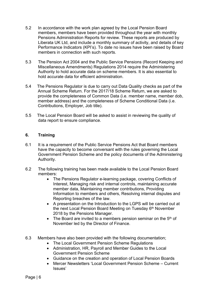- 5.2 In accordance with the work plan agreed by the Local Pension Board members, members have been provided throughout the year with monthly Pensions Administration Reports for review. These reports are produced by Liberata UK Ltd, and include a monthly summary of activity, and details of key Performance Indicators (KPI's). To date no issues have been raised by Board members in connection with such reports.
- 5.3 The Pension Act 2004 and the Public Service Pensions (Record Keeping and Miscellaneous Amendments) Regulations 2014 require the Administering Authority to hold accurate data on scheme members. It is also essential to hold accurate data for efficient administration.
- 5.4 The Pensions Regulator is due to carry out Data Quality checks as part of the Annual Scheme Return. For the 2017/18 Scheme Return, we are asked to provide the completeness of Common Data (i.e. member name, member dob, member address) and the completeness of Scheme Conditional Data (i.e. Contributions, Employer, Job title).
- 5.5 The Local Pension Board will be asked to assist in reviewing the quality of data report to ensure compliance.

# **6. Training**

- 6.1 It is a requirement of the Public Service Pensions Act that Board members have the capacity to become conversant with the rules governing the Local Government Pension Scheme and the policy documents of the Administering Authority.
- 6.2 The following training has been made available to the Local Pension Board members:
	- The Pensions Regulator e-learning package, covering Conflicts of Interest, Managing risk and internal controls, maintaining accurate member data, Maintaining member contributions, Providing Information to members and others, Resolving internal disputes and Reporting breaches of the law.
	- A presentation on the Introduction to the LGPS will be carried out at the next Local Pension Board Meeting on Tuesday 6<sup>th</sup> November 2018 by the Pensions Manager.
	- The Board are invited to a members pension seminar on the  $5<sup>th</sup>$  of November led by the Director of Finance.
- 6.3 Members have also been provided with the following documentation;
	- The Local Government Pension Scheme Regulations
	- Administration, HR, Payroll and Member Guides to the Local Government Pension Scheme
	- Guidance on the creation and operation of Local Pension Boards
	- Mercer Newsletters 'Local Government Pension Scheme Current Issues'